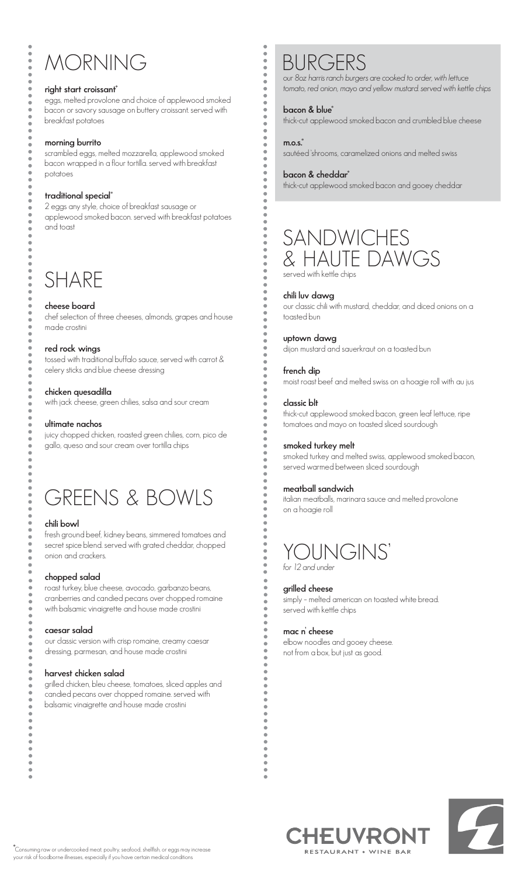## MORNING

#### **right start croissant\***

eggs, melted provolone and choice of applewood smoked bacon or savory sausage on buttery croissant. served with breakfast potatoes

#### **morning burrito**

scrambled eggs, melted mozzarella, applewood smoked bacon wrapped in a flour tortilla. served with breakfast potatoes

#### **traditional special\***

2 eggs any style, choice of breakfast sausage or applewood smoked bacon. served with breakfast potatoes and toast

### **SHARE**

#### **cheese board**

chef selection of three cheeses, almonds, grapes and house made crostini

#### **red rock wings**

tossed with traditional buffalo sauce, served with carrot & celery sticks and blue cheese dressing

#### **chicken quesadilla**

with jack cheese, green chilies, salsa and sour cream

#### **ultimate nachos**

juicy chopped chicken, roasted green chilies, corn, pico de gallo, queso and sour cream over tortilla chips

### GREENS & BOWLS

#### **chili bowl**

fresh ground beef, kidney beans, simmered tomatoes and secret spice blend. served with grated cheddar, chopped onion and crackers.

#### **chopped salad**

roast turkey, blue cheese, avocado, garbanzo beans, cranberries and candied pecans over chopped romaine with balsamic vinaigrette and house made crostini

#### **caesar salad**

our classic version with crisp romaine, creamy caesar dressing, parmesan, and house made crostini

#### **harvest chicken salad**

grilled chicken, bleu cheese, tomatoes, sliced apples and candied pecans over chopped romaine. served with balsamic vinaigrette and house made crostini

### BURGERS

*our 8oz harris ranch burgers are cooked to order, with lettuce tomato, red onion, mayo and yellow mustard. served with kettle chips*

#### **bacon & blue\***

**m.o.s.\*** 

 $\ddot{\bullet}$ 

thick-cut applewood smoked bacon and crumbled blue cheese

### sautéed 'shrooms, caramelized onions and melted swiss

#### **bacon & cheddar\***

thick-cut applewood smoked bacon and gooey cheddar

### SANDWICHES & HAUTE DAWGS served with kettle chips

#### **chili luv dawg**

our classic chili with mustard, cheddar, and diced onions on a toasted bun

#### **uptown dawg**

dijon mustard and sauerkraut on a toasted bun

#### **french dip**

moist roast beef and melted swiss on a hoagie roll with au jus

#### **classic blt**

thick-cut applewood smoked bacon, green leaf lettuce, ripe tomatoes and mayo on toasted sliced sourdough

#### **smoked turkey melt**

smoked turkey and melted swiss, applewood smoked bacon, served warmed between sliced sourdough

#### **meatball sandwich**

italian meatballs, marinara sauce and melted provolone on a hoagie roll



#### **grilled cheese**

simply – melted american on toasted white bread. served with kettle chips

#### **mac n' cheese**

elbow noodles and gooey cheese. not from a box, but just as good.